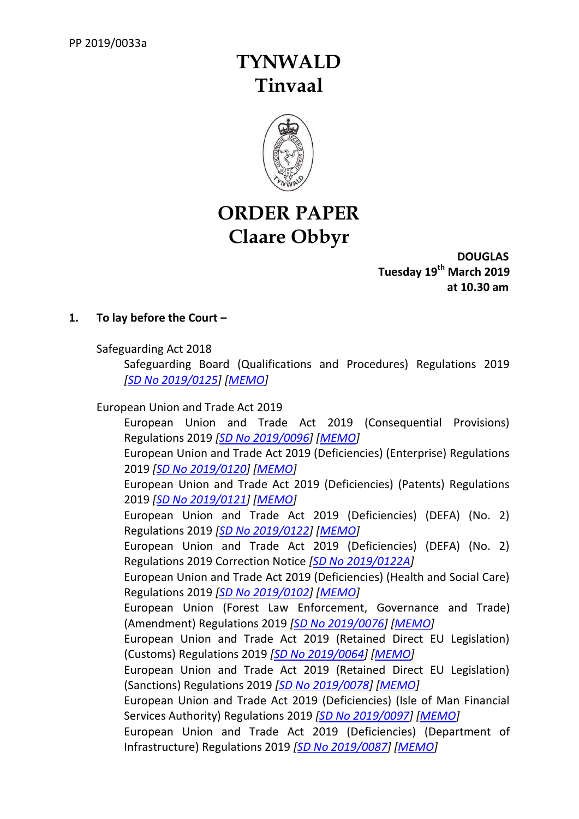# **TYNWALD Tinvaal**



# **ORDER PAPER Claare Obbyr**

**DOUGLAS Tuesday 19 th March 2019 at 10.30 am**

# **1. To lay before the Court –**

Safeguarding Act 2018

Safeguarding Board (Qualifications and Procedures) Regulations 2019 *[SD No [2019/0125\]](http://www.tynwald.org.im/business/opqp/sittings/20182021/2019-SD-0125.pdf) [\[MEMO\]](http://www.tynwald.org.im/business/opqp/sittings/20182021/2019-SD-0125-MEMO.pdf)*

# European Union and Trade Act 2019

European Union and Trade Act 2019 (Consequential Provisions) Regulations 2019 *[SD No [2019/0096\]](http://www.tynwald.org.im/business/opqp/sittings/20182021/2019-SD-0096.pdf) [\[MEMO\]](http://www.tynwald.org.im/business/opqp/sittings/20182021/2019-SD-0096-MEMO.pdf)* European Union and Trade Act 2019 (Deficiencies) (Enterprise) Regulations 2019 *[SD No [2019/0120\]](http://www.tynwald.org.im/business/opqp/sittings/20182021/2019-SD-0120.pdf) [\[MEMO\]](http://www.tynwald.org.im/business/opqp/sittings/20182021/2019-SD-0120-MEMO.pdf)* European Union and Trade Act 2019 (Deficiencies) (Patents) Regulations 2019 *[SD No [2019/0121\]](http://www.tynwald.org.im/business/opqp/sittings/20182021/2019-SD-0121.pdf) [\[MEMO\]](http://www.tynwald.org.im/business/opqp/sittings/20182021/2019-SD-0121-MEMO.pdf)* European Union and Trade Act 2019 (Deficiencies) (DEFA) (No. 2) Regulations 2019 *[SD No [2019/0122\]](http://www.tynwald.org.im/business/opqp/sittings/20182021/2019-SD-0122.pdf) [\[MEMO\]](http://www.tynwald.org.im/business/opqp/sittings/20182021/2019-SD-0122-MEMO.pdf)*

European Union and Trade Act 2019 (Deficiencies) (DEFA) (No. 2) Regulations 2019 Correction Notice *[SD No [2019/0122A\]](http://www.tynwald.org.im/business/opqp/sittings/20182021/2019-SD-0122a.pdf)*

European Union and Trade Act 2019 (Deficiencies) (Health and Social Care) Regulations 2019 *[SD No [2019/0102\]](http://www.tynwald.org.im/business/opqp/sittings/20182021/2019-SD-0102.pdf) [\[MEMO\]](http://www.tynwald.org.im/business/opqp/sittings/20182021/2019-SD-0102-MEMO.pdf)*

European Union (Forest Law Enforcement, Governance and Trade) (Amendment) Regulations 2019 *[SD No [2019/0076\]](http://www.tynwald.org.im/business/opqp/sittings/20182021/2019-SD-0076.pdf) [\[MEMO\]](http://www.tynwald.org.im/business/opqp/sittings/20182021/2019-SD-0076-MEMO.pdf)*

European Union and Trade Act 2019 (Retained Direct EU Legislation) (Customs) Regulations 2019 *[SD No [2019/0064\]](http://www.tynwald.org.im/business/opqp/sittings/20182021/2019-SD-0064.pdf) [\[MEMO\]](http://www.tynwald.org.im/business/opqp/sittings/20182021/2019-SD-0064-MEMO.pdf)*

European Union and Trade Act 2019 (Retained Direct EU Legislation) (Sanctions) Regulations 2019 *[SD No [2019/0078\]](http://www.tynwald.org.im/business/opqp/sittings/20182021/2019-SD-0078.pdf) [\[MEMO\]](http://www.tynwald.org.im/business/opqp/sittings/20182021/2019-SD-0078-MEMO.pdf)*

European Union and Trade Act 2019 (Deficiencies) (Isle of Man Financial Services Authority) Regulations 2019 *[SD No [2019/0097\]](http://www.tynwald.org.im/business/opqp/sittings/20182021/2019-SD-0097.pdf) [\[MEMO\]](http://www.tynwald.org.im/business/opqp/sittings/20182021/2019-SD-0097-MEMO.pdf)*

European Union and Trade Act 2019 (Deficiencies) (Department of Infrastructure) Regulations 2019 *[SD No [2019/0087\]](http://www.tynwald.org.im/business/opqp/sittings/20182021/2019-SD-0087.pdf) [\[MEMO\]](http://www.tynwald.org.im/business/opqp/sittings/20182021/2019-SD-0087-MEMO.pdf)*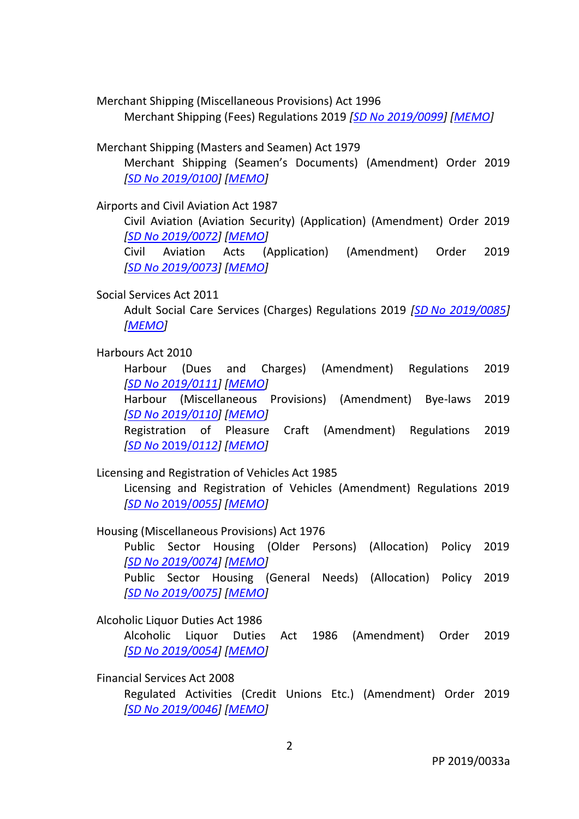Merchant Shipping (Miscellaneous Provisions) Act 1996 Merchant Shipping (Fees) Regulations 2019 *[SD No [2019/0099\]](http://www.tynwald.org.im/business/opqp/sittings/20182021/2019-SD-0099.pdf) [\[MEMO\]](http://www.tynwald.org.im/business/opqp/sittings/20182021/2019-SD-0099-MEMO.pdf)*

Merchant Shipping (Masters and Seamen) Act 1979

Merchant Shipping (Seamen's Documents) (Amendment) Order 2019 *[SD No [2019/0100\]](http://www.tynwald.org.im/business/opqp/sittings/20182021/2019-SD-0100.pdf) [\[MEMO\]](http://www.tynwald.org.im/business/opqp/sittings/20182021/2019-SD-0100-MEMO.pdf)*

Airports and Civil Aviation Act 1987

Civil Aviation (Aviation Security) (Application) (Amendment) Order 2019 *[SD No [2019/0072\]](http://www.tynwald.org.im/business/opqp/sittings/20182021/2019-SD-0072.pdf) [\[MEMO\]](http://www.tynwald.org.im/business/opqp/sittings/20182021/2019-SD-0072-MEMO.pdf)*

Civil Aviation Acts (Application) (Amendment) Order 2019 *[SD No [2019/0073\]](http://www.tynwald.org.im/business/opqp/sittings/20182021/2019-SD-0073.pdf) [\[MEMO\]](http://www.tynwald.org.im/business/opqp/sittings/20182021/2019-SD-0073-MEMO.pdf)*

## Social Services Act 2011

Adult Social Care Services (Charges) Regulations 2019 *[SD [No 2019/0085\]](http://www.tynwald.org.im/business/opqp/sittings/20182021/2019-SD-0085.pdf) [\[MEMO\]](http://www.tynwald.org.im/business/opqp/sittings/20182021/2019-SD-0085-MEMO.pdf)*

#### Harbours Act 2010

Harbour (Dues and Charges) (Amendment) Regulations 2019 *[SD No [2019/0111\]](http://www.tynwald.org.im/business/opqp/sittings/20182021/2019-SD-0111.pdf) [\[MEMO\]](http://www.tynwald.org.im/business/opqp/sittings/20182021/2019-SD-0111-MEMO.pdf)* Harbour (Miscellaneous Provisions) (Amendment) Bye-laws 2019 *[SD No [2019/0110\]](http://www.tynwald.org.im/business/opqp/sittings/20182021/2019-SD-0110.pdf) [\[MEMO\]](http://www.tynwald.org.im/business/opqp/sittings/20182021/2019-SD-0110-MEMO.pdf)*  Registration of Pleasure Craft (Amendment) Regulations 2019 *[SD No* [2019/](http://www.tynwald.org.im/business/opqp/sittings/20182021/2019-SD-0112.pdf)*0112] [\[MEMO\]](http://www.tynwald.org.im/business/opqp/sittings/20182021/2019-SD-0112-MEMO.pdf)*

#### Licensing and Registration of Vehicles Act 1985

Licensing and Registration of Vehicles (Amendment) Regulations 2019 *[SD No* [2019/](http://www.tynwald.org.im/business/opqp/sittings/20182021/2019-SD-0055.pdf)*0055] [\[MEMO\]](http://www.tynwald.org.im/business/opqp/sittings/20182021/2019-SD-0055-MEMO.pdf)*

Housing (Miscellaneous Provisions) Act 1976

Public Sector Housing (Older Persons) (Allocation) Policy 2019 *[SD No [2019/0074\]](http://www.tynwald.org.im/business/opqp/sittings/20182021/2019-SD-0074.pdf) [\[MEMO\]](http://www.tynwald.org.im/business/opqp/sittings/20182021/2019-SD-0074-MEMO.pdf)* Public Sector Housing (General Needs) (Allocation) Policy 2019

*[SD No [2019/0075\]](http://www.tynwald.org.im/business/opqp/sittings/20182021/2019-SD-0075.pdf) [\[MEMO\]](http://www.tynwald.org.im/business/opqp/sittings/20182021/2019-SD-0075-MEMO.pdf)*

#### Alcoholic Liquor Duties Act 1986

Alcoholic Liquor Duties Act 1986 (Amendment) Order 2019 *[SD No [2019/0054\]](http://www.tynwald.org.im/business/opqp/sittings/20182021/2019-SD-0054.pdf) [\[MEMO\]](http://www.tynwald.org.im/business/opqp/sittings/20182021/2019-SD-0054-MEMO.pdf)*

#### Financial Services Act 2008

Regulated Activities (Credit Unions Etc.) (Amendment) Order 2019 *[SD No [2019/0046\]](http://www.tynwald.org.im/business/opqp/sittings/20182021/2019-SD-0046.pdf) [\[MEMO\]](http://www.tynwald.org.im/business/opqp/sittings/20182021/2019-SD-0046-MEMO.pdf)*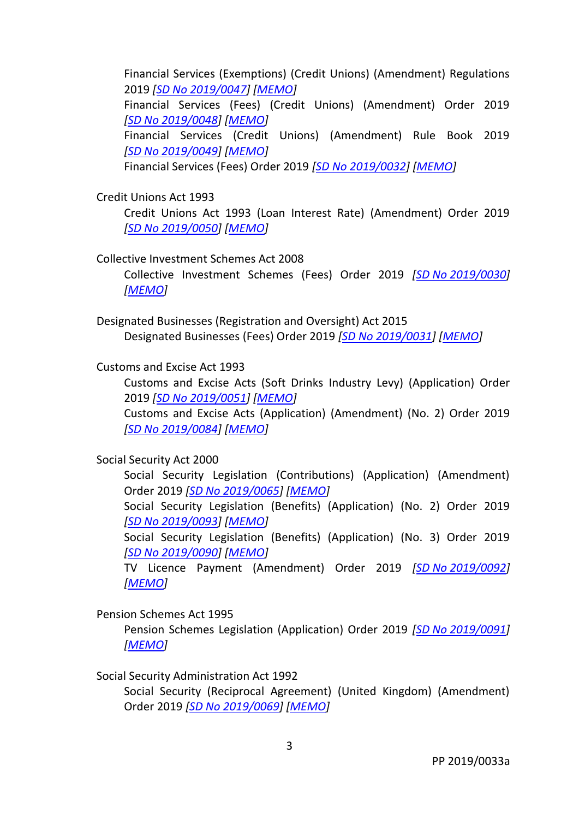Financial Services (Exemptions) (Credit Unions) (Amendment) Regulations 2019 *[SD No [2019/0047\]](http://www.tynwald.org.im/business/opqp/sittings/20182021/2019-SD-0047.pdf) [\[MEMO\]](http://www.tynwald.org.im/business/opqp/sittings/20182021/2019-SD-0047-MEMO.pdf)* Financial Services (Fees) (Credit Unions) (Amendment) Order 2019 *[SD No [2019/0048\]](http://www.tynwald.org.im/business/opqp/sittings/20182021/2019-SD-0048.pdf) [\[MEMO\]](http://www.tynwald.org.im/business/opqp/sittings/20182021/2019-SD-0048-MEMO.pdf)* Financial Services (Credit Unions) (Amendment) Rule Book 2019 *[SD No [2019/0049\]](http://www.tynwald.org.im/business/opqp/sittings/20182021/2019-SD-0049.pdf) [\[MEMO\]](http://www.tynwald.org.im/business/opqp/sittings/20182021/2019-SD-0049-MEMO.pdf)* Financial Services (Fees) Order 2019 *[SD No [2019/0032\]](http://www.tynwald.org.im/business/opqp/sittings/20182021/2019-SD-0032.pdf) [\[MEMO\]](http://www.tynwald.org.im/business/opqp/sittings/20182021/2019-SD-0032-MEMO.pdf)*

Credit Unions Act 1993

Credit Unions Act 1993 (Loan Interest Rate) (Amendment) Order 2019 *[SD No [2019/0050\]](http://www.tynwald.org.im/business/opqp/sittings/20182021/2019-SD-0050.pdf) [\[MEMO\]](http://www.tynwald.org.im/business/opqp/sittings/20182021/2019-SD-0050-MEMO.pdf)*

Collective Investment Schemes Act 2008

Collective Investment Schemes (Fees) Order 2019 *[SD No [2019/0030\]](http://www.tynwald.org.im/business/opqp/sittings/20182021/2019-SD-0030.pdf) [\[MEMO\]](http://www.tynwald.org.im/business/opqp/sittings/20182021/2019-SD-0030-MEMO.pdf)*

Designated Businesses (Registration and Oversight) Act 2015 Designated Businesses (Fees) Order 2019 *[SD No [2019/0031\]](http://www.tynwald.org.im/business/opqp/sittings/20182021/2019-SD-0031.pdf) [\[MEMO\]](http://www.tynwald.org.im/business/opqp/sittings/20182021/2019-SD-0031-MEMO.pdf)*

Customs and Excise Act 1993

Customs and Excise Acts (Soft Drinks Industry Levy) (Application) Order 2019 *[SD No [2019/0051\]](http://www.tynwald.org.im/business/opqp/sittings/20182021/2019-SD-0051.pdf) [\[MEMO\]](http://www.tynwald.org.im/business/opqp/sittings/20182021/2019-SD-0051-MEMO.pdf)*

Customs and Excise Acts (Application) (Amendment) (No. 2) Order 2019 *[SD No [2019/0084\]](http://www.tynwald.org.im/business/opqp/sittings/20182021/2019-SD-0084.pdf) [\[MEMO\]](http://www.tynwald.org.im/business/opqp/sittings/20182021/2019-SD-0084-MEMO.pdf)*

Social Security Act 2000

Social Security Legislation (Contributions) (Application) (Amendment) Order 2019 *[SD No [2019/0065\]](http://www.tynwald.org.im/business/opqp/sittings/20182021/2019-SD-0065.pdf) [\[MEMO\]](http://www.tynwald.org.im/business/opqp/sittings/20182021/2019-SD-0065-MEMO.pdf)*

Social Security Legislation (Benefits) (Application) (No. 2) Order 2019 *[SD No [2019/0093\]](http://www.tynwald.org.im/business/opqp/sittings/20182021/2019-SD-0093.pdf) [\[MEMO\]](http://www.tynwald.org.im/business/opqp/sittings/20182021/2019-SD-0093-MEMO.pdf)*

Social Security Legislation (Benefits) (Application) (No. 3) Order 2019 *[SD No [2019/0090\]](http://www.tynwald.org.im/business/opqp/sittings/20182021/2019-SD-0090.pdf) [\[MEMO\]](http://www.tynwald.org.im/business/opqp/sittings/20182021/2019-SD-0090-MEMO.pdf)*

TV Licence Payment (Amendment) Order 2019 *[SD No [2019/0092\]](http://www.tynwald.org.im/business/opqp/sittings/20182021/2019-SD-0092.pdf) [\[MEMO\]](http://www.tynwald.org.im/business/opqp/sittings/20182021/2019-SD-0092-MEMO.pdf)*

Pension Schemes Act 1995

Pension Schemes Legislation (Application) Order 2019 *[SD No [2019/0091\]](http://www.tynwald.org.im/business/opqp/sittings/20182021/2019-SD-0091.pdf) [\[MEMO\]](http://www.tynwald.org.im/business/opqp/sittings/20182021/2019-SD-0091-MEMO.pdf)*

Social Security Administration Act 1992

Social Security (Reciprocal Agreement) (United Kingdom) (Amendment) Order 2019 *[SD No [2019/0069\]](http://www.tynwald.org.im/business/opqp/sittings/20182021/2019-SD-0069.pdf) [\[MEMO\]](http://www.tynwald.org.im/business/opqp/sittings/20182021/2019-SD-0069-MEMO.pdf)*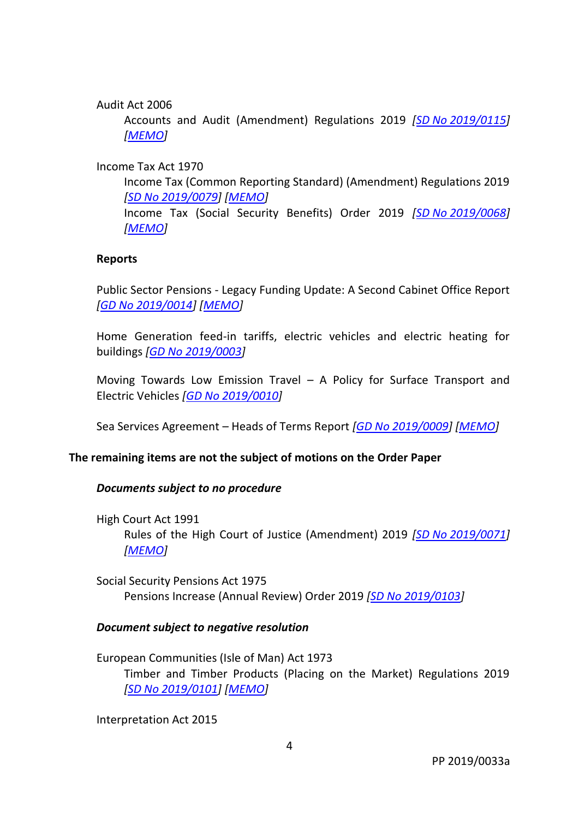## Audit Act 2006

Accounts and Audit (Amendment) Regulations 2019 *[SD No [2019/0115\]](http://www.tynwald.org.im/business/opqp/sittings/20182021/2019-SD-0115.pdf) [\[MEMO\]](http://www.tynwald.org.im/business/opqp/sittings/20182021/2019-SD-0115-MEMO.pdf)*

# Income Tax Act 1970

Income Tax (Common Reporting Standard) (Amendment) Regulations 2019 *[SD No [2019/0079\]](http://www.tynwald.org.im/business/opqp/sittings/20182021/2019-SD-0079.pdf) [\[MEMO\]](http://www.tynwald.org.im/business/opqp/sittings/20182021/2019-SD-0079-MEMO.pdf)*

Income Tax (Social Security Benefits) Order 2019 *[SD No [2019/0068\]](http://www.tynwald.org.im/business/opqp/sittings/20182021/2019-SD-0068.pdf) [\[MEMO\]](http://www.tynwald.org.im/business/opqp/sittings/20182021/2019-SD-0068-MEMO.pdf)*

## **Reports**

Public Sector Pensions - Legacy Funding Update: A Second Cabinet Office Report *[GD No [2019/0014\]](http://www.tynwald.org.im/business/opqp/sittings/20182021/2019-GD-0014.pdf) [\[MEMO\]](http://www.tynwald.org.im/business/opqp/sittings/20182021/2019-GD-0014-MEMO.pdf)*

Home Generation feed-in tariffs, electric vehicles and electric heating for buildings *[GD No [2019/0003\]](http://www.tynwald.org.im/business/opqp/sittings/20182021/2019-GD-0003.pdf)*

Moving Towards Low Emission Travel – A Policy for Surface Transport and Electric Vehicles *[GD No [2019/0010\]](http://www.tynwald.org.im/business/opqp/sittings/20182021/2019-GD-0010.pdf)*

Sea Services Agreement – Heads of Terms Report *[GD No [2019/0009\]](http://www.tynwald.org.im/business/opqp/sittings/20182021/2019-GD-0009.pdf) [\[MEMO\]](http://www.tynwald.org.im/business/opqp/sittings/20182021/2019-GD-0009-MEMO.pdf)*

# **The remaining items are not the subject of motions on the Order Paper**

## *Documents subject to no procedure*

High Court Act 1991 Rules of the High Court of Justice (Amendment) 2019 *[SD No [2019/0071\]](http://www.tynwald.org.im/business/opqp/sittings/20182021/2019-SD-0071.pdf) [\[MEMO\]](http://www.tynwald.org.im/business/opqp/sittings/20182021/2019-SD-0071-MEMO.pdf)*

Social Security Pensions Act 1975 Pensions Increase (Annual Review) Order 2019 *[SD No [2019/0103\]](http://www.tynwald.org.im/business/opqp/sittings/20182021/2019-SD-0103.pdf)*

## *Document subject to negative resolution*

European Communities (Isle of Man) Act 1973 Timber and Timber Products (Placing on the Market) Regulations 2019 *[SD No [2019/0101\]](http://www.tynwald.org.im/business/opqp/sittings/20182021/2019-SD-0101.pdf) [\[MEMO\]](http://www.tynwald.org.im/business/opqp/sittings/20182021/2019-SD-0101-MEMO.pdf)*

Interpretation Act 2015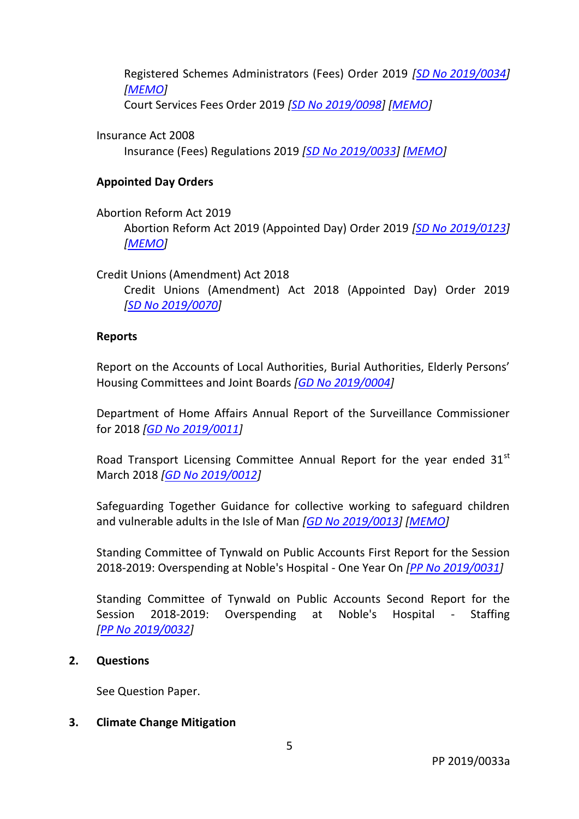Registered Schemes Administrators (Fees) Order 2019 *[SD No [2019/0034\]](http://www.tynwald.org.im/business/opqp/sittings/20182021/2019-SD-0034.pdf) [\[MEMO\]](http://www.tynwald.org.im/business/opqp/sittings/20182021/2019-SD-0034-MEMO.pdf)*

Court Services Fees Order 2019 *[SD No [2019/0098\]](http://www.tynwald.org.im/business/opqp/sittings/20182021/2019-SD-0098.pdf) [\[MEMO\]](http://www.tynwald.org.im/business/opqp/sittings/20182021/2019-SD-0098-MEMO.pdf)*

Insurance Act 2008

Insurance (Fees) Regulations 2019 *[SD No [2019/0033\]](http://www.tynwald.org.im/business/opqp/sittings/20182021/2019-SD-0033.pdf) [\[MEMO\]](http://www.tynwald.org.im/business/opqp/sittings/20182021/2019-SD-0033-MEMO.pdf)*

# **Appointed Day Orders**

# Abortion Reform Act 2019

Abortion Reform Act 2019 (Appointed Day) Order 2019 *[SD [No 2019/0123\]](http://www.tynwald.org.im/business/opqp/sittings/20182021/2019-SD-0123.pdf) [\[MEMO\]](http://www.tynwald.org.im/business/opqp/sittings/20182021/2019-SD-0123-MEMO.pdf)*

Credit Unions (Amendment) Act 2018

Credit Unions (Amendment) Act 2018 (Appointed Day) Order 2019 *[SD No [2019/0070\]](http://www.tynwald.org.im/business/opqp/sittings/20182021/2019-SD-0070.pdf)*

# **Reports**

Report on the Accounts of Local Authorities, Burial Authorities, Elderly Persons' Housing Committees and Joint Boards *[GD No [2019/0004\]](http://www.tynwald.org.im/business/opqp/sittings/20182021/2019-GD-0004.pdf)*

Department of Home Affairs Annual Report of the Surveillance Commissioner for 2018 *[GD No [2019/0011\]](http://www.tynwald.org.im/business/opqp/sittings/20182021/2019-GD-0011.pdf)*

Road Transport Licensing Committee Annual Report for the year ended  $31<sup>st</sup>$ March 2018 *[GD No [2019/0012\]](http://www.tynwald.org.im/business/opqp/sittings/20182021/2019-GD-0012.pdf)*

Safeguarding Together Guidance for collective working to safeguard children and vulnerable adults in the Isle of Man *[GD No [2019/0013\]](http://www.tynwald.org.im/business/opqp/sittings/20182021/2019-GD-0013.pdf) [\[MEMO\]](http://www.tynwald.org.im/business/opqp/sittings/20182021/2019-GD-0013-MEMO.pdf)*

Standing Committee of Tynwald on Public Accounts First Report for the Session 2018-2019: Overspending at Noble's Hospital - One Year On *[PP No [2019/0031\]](http://www.tynwald.org.im/business/opqp/sittings/20182021/2019-PP-0031.pdf)*

Standing Committee of Tynwald on Public Accounts Second Report for the Session 2018-2019: Overspending at Noble's Hospital - Staffing *[PP No [2019/0032\]](http://www.tynwald.org.im/business/opqp/sittings/20182021/2019-PP-0032.pdf)*

# **2. Questions**

See Question Paper.

# **3. Climate Change Mitigation**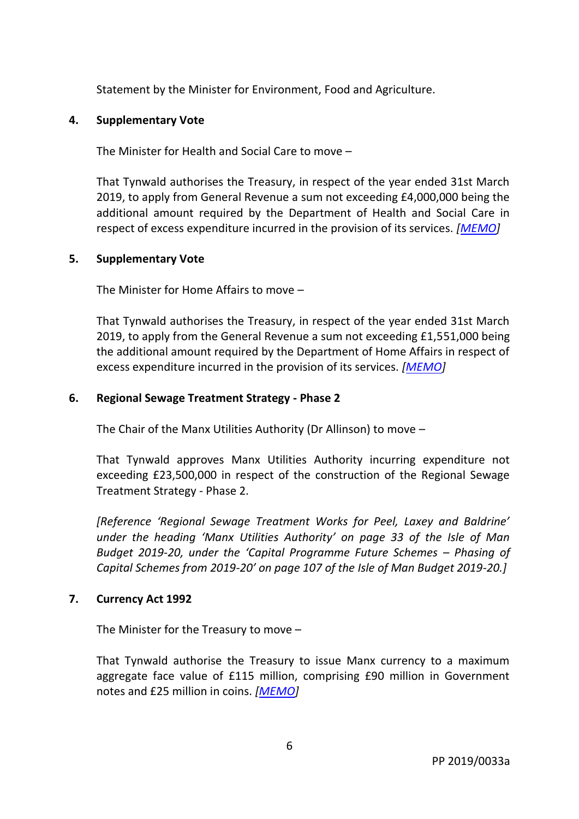Statement by the Minister for Environment, Food and Agriculture.

## **4. Supplementary Vote**

The Minister for Health and Social Care to move –

That Tynwald authorises the Treasury, in respect of the year ended 31st March 2019, to apply from General Revenue a sum not exceeding £4,000,000 being the additional amount required by the Department of Health and Social Care in respect of excess expenditure incurred in the provision of its services. *[\[MEMO\]](http://www.tynwald.org.im/business/opqp/sittings/20182021/DHSC-SupplementaryVote-Mar19-MEMO.pdf)*

## **5. Supplementary Vote**

The Minister for Home Affairs to move –

That Tynwald authorises the Treasury, in respect of the year ended 31st March 2019, to apply from the General Revenue a sum not exceeding £1,551,000 being the additional amount required by the Department of Home Affairs in respect of excess expenditure incurred in the provision of its services. *[\[MEMO\]](http://www.tynwald.org.im/business/opqp/sittings/20182021/DHA-SupplementaryVote-May19-MEMO.pdf)*

## **6. Regional Sewage Treatment Strategy - Phase 2**

The Chair of the Manx Utilities Authority (Dr Allinson) to move –

That Tynwald approves Manx Utilities Authority incurring expenditure not exceeding £23,500,000 in respect of the construction of the Regional Sewage Treatment Strategy - Phase 2.

*[Reference 'Regional Sewage Treatment Works for Peel, Laxey and Baldrine' under the heading 'Manx Utilities Authority' on page 33 of the Isle of Man Budget 2019-20, under the 'Capital Programme Future Schemes – Phasing of Capital Schemes from 2019-20' on page 107 of the Isle of Man Budget 2019-20.]*

# **7. Currency Act 1992**

The Minister for the Treasury to move –

That Tynwald authorise the Treasury to issue Manx currency to a maximum aggregate face value of £115 million, comprising £90 million in Government notes and £25 million in coins. *[\[MEMO\]](http://www.tynwald.org.im/business/opqp/sittings/20182021/CurrencyAct1992-Increase-Mar19-MEMO.pdf)*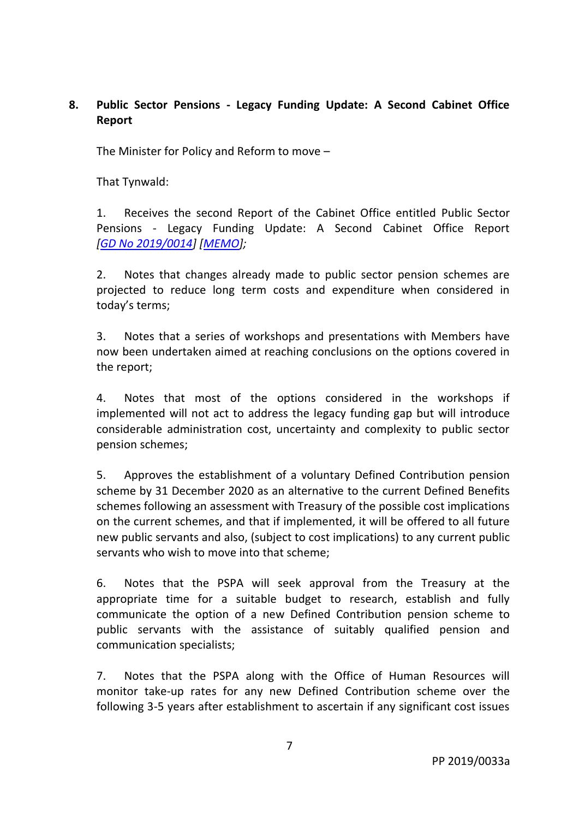# **8. Public Sector Pensions - Legacy Funding Update: A Second Cabinet Office Report**

The Minister for Policy and Reform to move –

That Tynwald:

1. Receives the second Report of the Cabinet Office entitled Public Sector Pensions - Legacy Funding Update: A Second Cabinet Office Report *[GD No [2019/0014\]](http://www.tynwald.org.im/business/opqp/sittings/20182021/2019-GD-0014.pdf) [\[MEMO\]](http://www.tynwald.org.im/business/opqp/sittings/20182021/2019-GD-0014-MEMO.pdf);*

2. Notes that changes already made to public sector pension schemes are projected to reduce long term costs and expenditure when considered in today's terms;

3. Notes that a series of workshops and presentations with Members have now been undertaken aimed at reaching conclusions on the options covered in the report;

4. Notes that most of the options considered in the workshops if implemented will not act to address the legacy funding gap but will introduce considerable administration cost, uncertainty and complexity to public sector pension schemes;

5. Approves the establishment of a voluntary Defined Contribution pension scheme by 31 December 2020 as an alternative to the current Defined Benefits schemes following an assessment with Treasury of the possible cost implications on the current schemes, and that if implemented, it will be offered to all future new public servants and also, (subject to cost implications) to any current public servants who wish to move into that scheme;

6. Notes that the PSPA will seek approval from the Treasury at the appropriate time for a suitable budget to research, establish and fully communicate the option of a new Defined Contribution pension scheme to public servants with the assistance of suitably qualified pension and communication specialists;

7. Notes that the PSPA along with the Office of Human Resources will monitor take-up rates for any new Defined Contribution scheme over the following 3-5 years after establishment to ascertain if any significant cost issues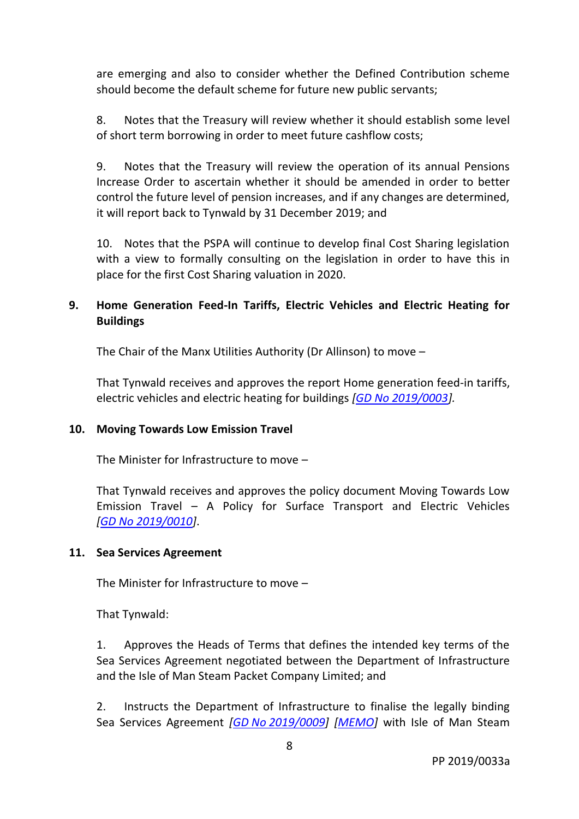are emerging and also to consider whether the Defined Contribution scheme should become the default scheme for future new public servants;

8. Notes that the Treasury will review whether it should establish some level of short term borrowing in order to meet future cashflow costs;

9. Notes that the Treasury will review the operation of its annual Pensions Increase Order to ascertain whether it should be amended in order to better control the future level of pension increases, and if any changes are determined, it will report back to Tynwald by 31 December 2019; and

10. Notes that the PSPA will continue to develop final Cost Sharing legislation with a view to formally consulting on the legislation in order to have this in place for the first Cost Sharing valuation in 2020.

# **9. Home Generation Feed-In Tariffs, Electric Vehicles and Electric Heating for Buildings**

The Chair of the Manx Utilities Authority (Dr Allinson) to move –

That Tynwald receives and approves the report Home generation feed-in tariffs, electric vehicles and electric heating for buildings *[GD No [2019/0003\]](http://www.tynwald.org.im/business/opqp/sittings/20182021/2019-GD-0003.pdf).*

# **10. Moving Towards Low Emission Travel**

The Minister for Infrastructure to move –

That Tynwald receives and approves the policy document Moving Towards Low Emission Travel – A Policy for Surface Transport and Electric Vehicles *[GD No [2019/0010\]](http://www.tynwald.org.im/business/opqp/sittings/20182021/2019-GD-0010.pdf)*.

# **11. Sea Services Agreement**

The Minister for Infrastructure to move –

That Tynwald:

1. Approves the Heads of Terms that defines the intended key terms of the Sea Services Agreement negotiated between the Department of Infrastructure and the Isle of Man Steam Packet Company Limited; and

2. Instructs the Department of Infrastructure to finalise the legally binding Sea Services Agreement *[GD No [2019/0009\]](http://www.tynwald.org.im/business/opqp/sittings/20182021/2019-GD-0009.pdf) [\[MEMO\]](http://www.tynwald.org.im/business/opqp/sittings/20182021/2019-GD-0009-MEMO.pdf)* with Isle of Man Steam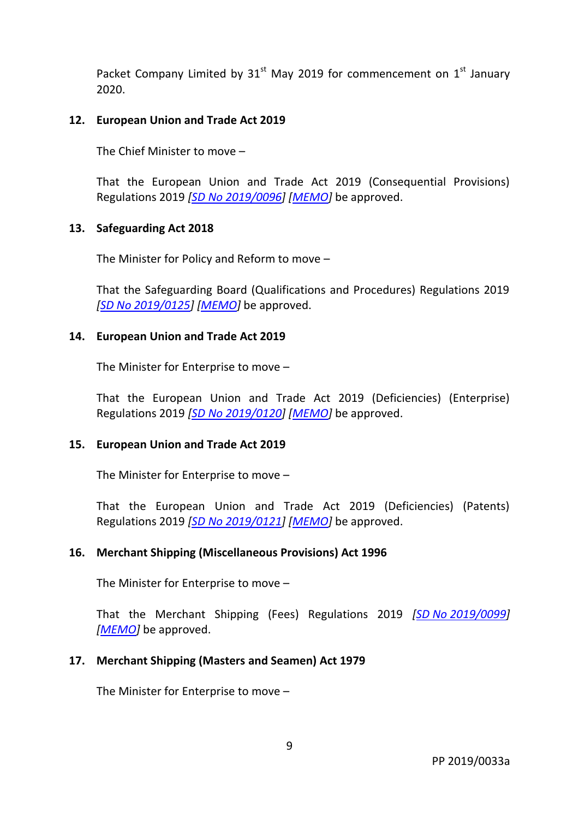Packet Company Limited by  $31<sup>st</sup>$  May 2019 for commencement on  $1<sup>st</sup>$  January 2020.

## **12. European Union and Trade Act 2019**

The Chief Minister to move –

That the European Union and Trade Act 2019 (Consequential Provisions) Regulations 2019 *[SD No [2019/0096\]](http://www.tynwald.org.im/business/opqp/sittings/20182021/2019-SD-0096.pdf) [\[MEMO\]](http://www.tynwald.org.im/business/opqp/sittings/20182021/2019-SD-0096-MEMO.pdf)* be approved.

#### **13. Safeguarding Act 2018**

The Minister for Policy and Reform to move –

That the Safeguarding Board (Qualifications and Procedures) Regulations 2019 *[SD No [2019/0125\]](http://www.tynwald.org.im/business/opqp/sittings/20182021/2019-SD-0125.pdf) [\[MEMO\]](http://www.tynwald.org.im/business/opqp/sittings/20182021/2019-SD-0125-MEMO.pdf)* be approved.

#### **14. European Union and Trade Act 2019**

The Minister for Enterprise to move –

That the European Union and Trade Act 2019 (Deficiencies) (Enterprise) Regulations 2019 *[SD No [2019/0120\]](http://www.tynwald.org.im/business/opqp/sittings/20182021/2019-SD-0120.pdf) [\[MEMO\]](http://www.tynwald.org.im/business/opqp/sittings/20182021/2019-SD-0120-MEMO.pdf)* be approved.

#### **15. European Union and Trade Act 2019**

The Minister for Enterprise to move –

That the European Union and Trade Act 2019 (Deficiencies) (Patents) Regulations 2019 *[SD No [2019/0121\]](http://www.tynwald.org.im/business/opqp/sittings/20182021/2019-SD-0121.pdf) [\[MEMO\]](http://www.tynwald.org.im/business/opqp/sittings/20182021/2019-SD-0121-MEMO.pdf)* be approved.

## **16. Merchant Shipping (Miscellaneous Provisions) Act 1996**

The Minister for Enterprise to move –

That the Merchant Shipping (Fees) Regulations 2019 *[SD No [2019/0099\]](http://www.tynwald.org.im/business/opqp/sittings/20182021/2019-SD-0099.pdf) [\[MEMO\]](http://www.tynwald.org.im/business/opqp/sittings/20182021/2019-SD-0099-MEMO.pdf)* be approved.

## **17. Merchant Shipping (Masters and Seamen) Act 1979**

The Minister for Enterprise to move –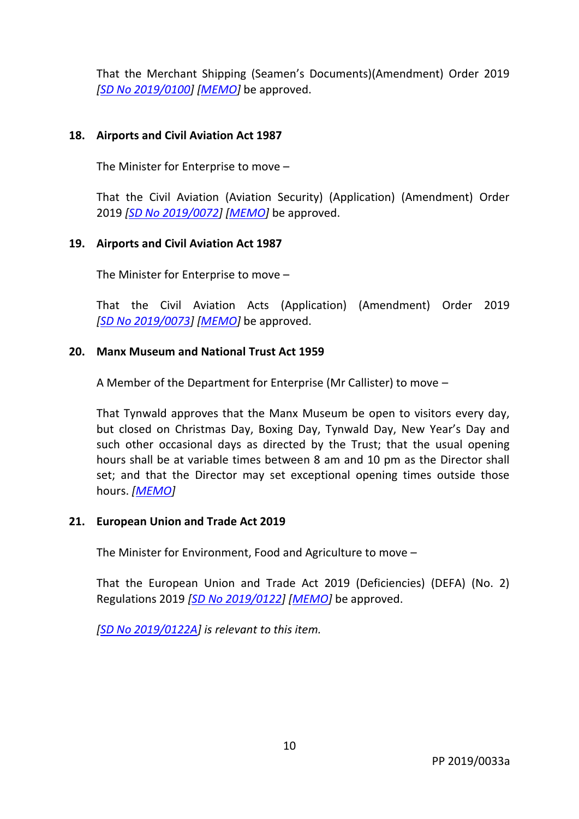That the Merchant Shipping (Seamen's Documents)(Amendment) Order 2019 *[SD No [2019/0100\]](http://www.tynwald.org.im/business/opqp/sittings/20182021/2019-SD-0100.pdf) [\[MEMO\]](http://www.tynwald.org.im/business/opqp/sittings/20182021/2019-SD-0100-MEMO.pdf)* be approved.

# **18. Airports and Civil Aviation Act 1987**

The Minister for Enterprise to move –

That the Civil Aviation (Aviation Security) (Application) (Amendment) Order 2019 *[SD No [2019/0072\]](http://www.tynwald.org.im/business/opqp/sittings/20182021/2019-SD-0072.pdf) [\[MEMO\]](http://www.tynwald.org.im/business/opqp/sittings/20182021/2019-SD-0072-MEMO.pdf)* be approved.

## **19. Airports and Civil Aviation Act 1987**

The Minister for Enterprise to move –

That the Civil Aviation Acts (Application) (Amendment) Order 2019 *[SD No [2019/0073\]](http://www.tynwald.org.im/business/opqp/sittings/20182021/2019-SD-0073.pdf) [\[MEMO\]](http://www.tynwald.org.im/business/opqp/sittings/20182021/2019-SD-0073-MEMO.pdf)* be approved.

## **20. Manx Museum and National Trust Act 1959**

A Member of the Department for Enterprise (Mr Callister) to move –

That Tynwald approves that the Manx Museum be open to visitors every day, but closed on Christmas Day, Boxing Day, Tynwald Day, New Year's Day and such other occasional days as directed by the Trust; that the usual opening hours shall be at variable times between 8 am and 10 pm as the Director shall set; and that the Director may set exceptional opening times outside those hours. *[\[MEMO\]](http://www.tynwald.org.im/business/opqp/sittings/20182021/ManxMuseum-Mar19-MEMO.pdf)*

## **21. European Union and Trade Act 2019**

The Minister for Environment, Food and Agriculture to move –

That the European Union and Trade Act 2019 (Deficiencies) (DEFA) (No. 2) Regulations 2019 *[SD No [2019/0122\]](http://www.tynwald.org.im/business/opqp/sittings/20182021/2019-SD-0122.pdf) [\[MEMO\]](http://www.tynwald.org.im/business/opqp/sittings/20182021/2019-SD-0122-MEMO.pdf)* be approved.

*[SD No [2019/0122A\]](http://www.tynwald.org.im/business/opqp/sittings/20182021/2019-SD-0122a.pdf) is relevant to this item.*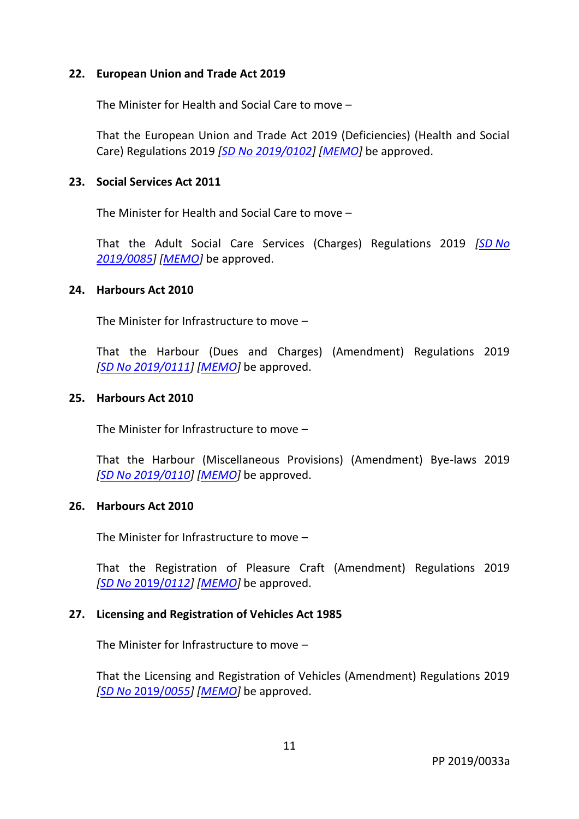## **22. European Union and Trade Act 2019**

The Minister for Health and Social Care to move –

That the European Union and Trade Act 2019 (Deficiencies) (Health and Social Care) Regulations 2019 *[SD No [2019/0102\]](http://www.tynwald.org.im/business/opqp/sittings/20182021/2019-SD-0102.pdf) [\[MEMO\]](http://www.tynwald.org.im/business/opqp/sittings/20182021/2019-SD-0102-MEMO.pdf)* be approved.

#### **23. Social Services Act 2011**

The Minister for Health and Social Care to move –

That the Adult Social Care Services (Charges) Regulations 2019 *[SD [No](http://www.tynwald.org.im/business/opqp/sittings/20182021/2019-SD-0085.pdf)  [2019/0085\]](http://www.tynwald.org.im/business/opqp/sittings/20182021/2019-SD-0085.pdf) [\[MEMO\]](http://www.tynwald.org.im/business/opqp/sittings/20182021/2019-SD-0085-MEMO.pdf)* be approved.

#### **24. Harbours Act 2010**

The Minister for Infrastructure to move –

That the Harbour (Dues and Charges) (Amendment) Regulations 2019 *[SD No [2019/0111\]](http://www.tynwald.org.im/business/opqp/sittings/20182021/2019-SD-0111.pdf) [\[MEMO\]](http://www.tynwald.org.im/business/opqp/sittings/20182021/2019-SD-0111-MEMO.pdf)* be approved.

#### **25. Harbours Act 2010**

The Minister for Infrastructure to move –

That the Harbour (Miscellaneous Provisions) (Amendment) Bye-laws 2019 *[SD No [2019/0110\]](http://www.tynwald.org.im/business/opqp/sittings/20182021/2019-SD-0110.pdf) [\[MEMO\]](http://www.tynwald.org.im/business/opqp/sittings/20182021/2019-SD-0110-MEMO.pdf)* be approved.

#### **26. Harbours Act 2010**

The Minister for Infrastructure to move –

That the Registration of Pleasure Craft (Amendment) Regulations 2019 *[SD No* [2019/](http://www.tynwald.org.im/business/opqp/sittings/20182021/2019-SD-0112.pdf)*0112] [\[MEMO\]](http://www.tynwald.org.im/business/opqp/sittings/20182021/2019-SD-0112-MEMO.pdf)* be approved.

## **27. Licensing and Registration of Vehicles Act 1985**

The Minister for Infrastructure to move –

That the Licensing and Registration of Vehicles (Amendment) Regulations 2019 *[SD No* [2019/](http://www.tynwald.org.im/business/opqp/sittings/20182021/2019-SD-0055.pdf)*0055] [\[MEMO\]](http://www.tynwald.org.im/business/opqp/sittings/20182021/2019-SD-0055-MEMO.pdf)* be approved.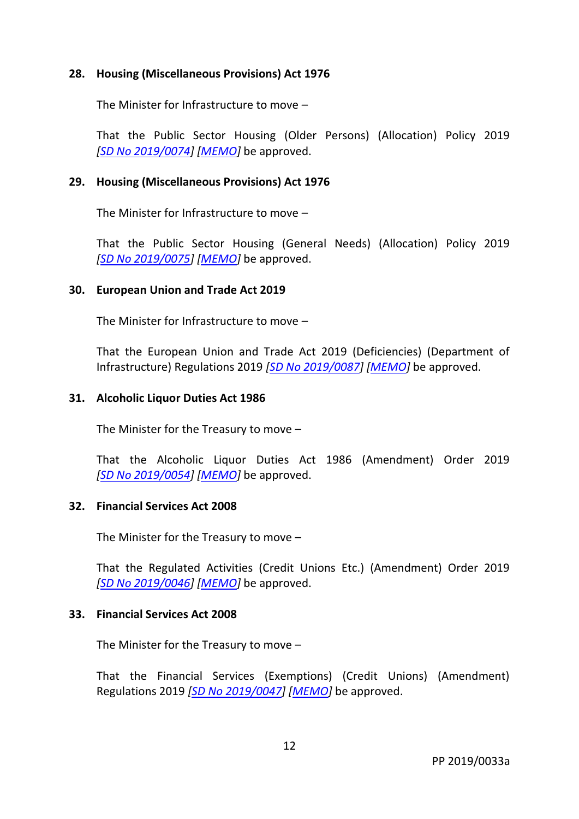## **28. Housing (Miscellaneous Provisions) Act 1976**

The Minister for Infrastructure to move –

That the Public Sector Housing (Older Persons) (Allocation) Policy 2019 *[SD No [2019/0074\]](http://www.tynwald.org.im/business/opqp/sittings/20182021/2019-SD-0074.pdf) [\[MEMO\]](http://www.tynwald.org.im/business/opqp/sittings/20182021/2019-SD-0074-MEMO.pdf)* be approved.

#### **29. Housing (Miscellaneous Provisions) Act 1976**

The Minister for Infrastructure to move –

That the Public Sector Housing (General Needs) (Allocation) Policy 2019 *[SD No [2019/0075\]](http://www.tynwald.org.im/business/opqp/sittings/20182021/2019-SD-0075.pdf) [\[MEMO\]](http://www.tynwald.org.im/business/opqp/sittings/20182021/2019-SD-0075-MEMO.pdf)* be approved.

#### **30. European Union and Trade Act 2019**

The Minister for Infrastructure to move –

That the European Union and Trade Act 2019 (Deficiencies) (Department of Infrastructure) Regulations 2019 *[SD No [2019/0087\]](http://www.tynwald.org.im/business/opqp/sittings/20182021/2019-SD-0087.pdf) [\[MEMO\]](http://www.tynwald.org.im/business/opqp/sittings/20182021/2019-SD-0087-MEMO.pdf)* be approved.

#### **31. Alcoholic Liquor Duties Act 1986**

The Minister for the Treasury to move –

That the Alcoholic Liquor Duties Act 1986 (Amendment) Order 2019 *[SD No [2019/0054\]](http://www.tynwald.org.im/business/opqp/sittings/20182021/2019-SD-0054.pdf) [\[MEMO\]](http://www.tynwald.org.im/business/opqp/sittings/20182021/2019-SD-0054-MEMO.pdf)* be approved.

## **32. Financial Services Act 2008**

The Minister for the Treasury to move –

That the Regulated Activities (Credit Unions Etc.) (Amendment) Order 2019 *[SD No [2019/0046\]](http://www.tynwald.org.im/business/opqp/sittings/20182021/2019-SD-0046.pdf) [\[MEMO\]](http://www.tynwald.org.im/business/opqp/sittings/20182021/2019-SD-0046-MEMO.pdf)* be approved.

#### **33. Financial Services Act 2008**

The Minister for the Treasury to move –

That the Financial Services (Exemptions) (Credit Unions) (Amendment) Regulations 2019 *[SD No [2019/0047\]](http://www.tynwald.org.im/business/opqp/sittings/20182021/2019-SD-0047.pdf) [\[MEMO\]](http://www.tynwald.org.im/business/opqp/sittings/20182021/2019-SD-0047-MEMO.pdf)* be approved.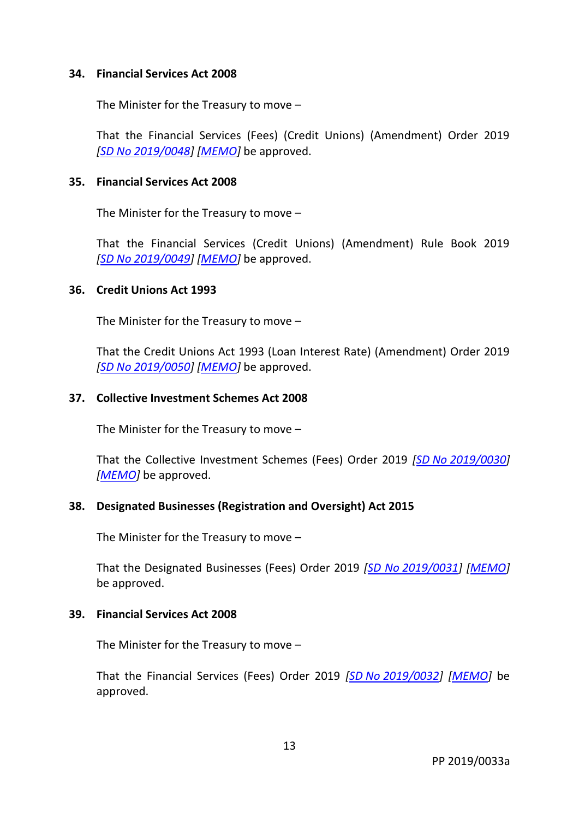#### **34. Financial Services Act 2008**

The Minister for the Treasury to move –

That the Financial Services (Fees) (Credit Unions) (Amendment) Order 2019 *[SD No [2019/0048\]](http://www.tynwald.org.im/business/opqp/sittings/20182021/2019-SD-0048.pdf) [\[MEMO\]](http://www.tynwald.org.im/business/opqp/sittings/20182021/2019-SD-0048-MEMO.pdf)* be approved.

#### **35. Financial Services Act 2008**

The Minister for the Treasury to move –

That the Financial Services (Credit Unions) (Amendment) Rule Book 2019 *[SD No [2019/0049\]](http://www.tynwald.org.im/business/opqp/sittings/20182021/2019-SD-0049.pdf) [\[MEMO\]](http://www.tynwald.org.im/business/opqp/sittings/20182021/2019-SD-0049-MEMO.pdf)* be approved.

#### **36. Credit Unions Act 1993**

The Minister for the Treasury to move –

That the Credit Unions Act 1993 (Loan Interest Rate) (Amendment) Order 2019 *[SD No [2019/0050\]](http://www.tynwald.org.im/business/opqp/sittings/20182021/2019-SD-0050.pdf) [\[MEMO\]](http://www.tynwald.org.im/business/opqp/sittings/20182021/2019-SD-0050-MEMO.pdf)* be approved.

#### **37. Collective Investment Schemes Act 2008**

The Minister for the Treasury to move –

That the Collective Investment Schemes (Fees) Order 2019 *[SD No [2019/0030\]](http://www.tynwald.org.im/business/opqp/sittings/20182021/2019-SD-0030.pdf) [\[MEMO\]](http://www.tynwald.org.im/business/opqp/sittings/20182021/2019-SD-0030-MEMO.pdf)* be approved.

## **38. Designated Businesses (Registration and Oversight) Act 2015**

The Minister for the Treasury to move –

That the Designated Businesses (Fees) Order 2019 *[SD No [2019/0031\]](http://www.tynwald.org.im/business/opqp/sittings/20182021/2019-SD-0031.pdf) [\[MEMO\]](http://www.tynwald.org.im/business/opqp/sittings/20182021/2019-SD-0031-MEMO.pdf)* be approved.

#### **39. Financial Services Act 2008**

The Minister for the Treasury to move –

That the Financial Services (Fees) Order 2019 *[SD No [2019/0032\]](http://www.tynwald.org.im/business/opqp/sittings/20182021/2019-SD-0032.pdf) [\[MEMO\]](http://www.tynwald.org.im/business/opqp/sittings/20182021/2019-SD-0032-MEMO.pdf)* be approved.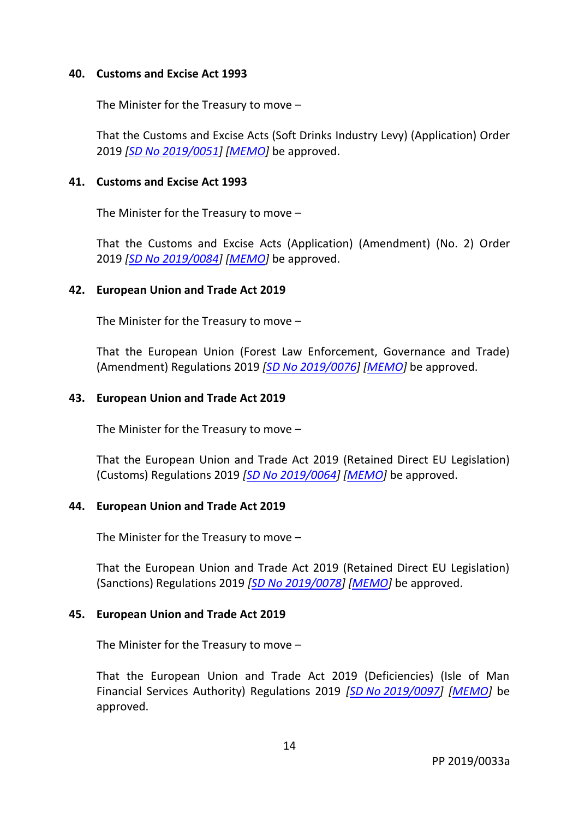#### **40. Customs and Excise Act 1993**

The Minister for the Treasury to move –

That the Customs and Excise Acts (Soft Drinks Industry Levy) (Application) Order 2019 *[SD No [2019/0051\]](http://www.tynwald.org.im/business/opqp/sittings/20182021/2019-SD-0051.pdf) [\[MEMO\]](http://www.tynwald.org.im/business/opqp/sittings/20182021/2019-SD-0051-MEMO.pdf)* be approved.

#### **41. Customs and Excise Act 1993**

The Minister for the Treasury to move –

That the Customs and Excise Acts (Application) (Amendment) (No. 2) Order 2019 *[SD No [2019/0084\]](http://www.tynwald.org.im/business/opqp/sittings/20182021/2019-SD-0084.pdf) [\[MEMO\]](http://www.tynwald.org.im/business/opqp/sittings/20182021/2019-SD-0084-MEMO.pdf)* be approved.

## **42. European Union and Trade Act 2019**

The Minister for the Treasury to move –

That the European Union (Forest Law Enforcement, Governance and Trade) (Amendment) Regulations 2019 *[SD No [2019/0076\]](http://www.tynwald.org.im/business/opqp/sittings/20182021/2019-SD-0076.pdf) [\[MEMO\]](http://www.tynwald.org.im/business/opqp/sittings/20182021/2019-SD-0076-MEMO.pdf)* be approved.

#### **43. European Union and Trade Act 2019**

The Minister for the Treasury to move –

That the European Union and Trade Act 2019 (Retained Direct EU Legislation) (Customs) Regulations 2019 *[SD No [2019/0064\]](http://www.tynwald.org.im/business/opqp/sittings/20182021/2019-SD-0064.pdf) [\[MEMO\]](http://www.tynwald.org.im/business/opqp/sittings/20182021/2019-SD-0064-MEMO.pdf)* be approved.

#### **44. European Union and Trade Act 2019**

The Minister for the Treasury to move –

That the European Union and Trade Act 2019 (Retained Direct EU Legislation) (Sanctions) Regulations 2019 *[SD No [2019/0078\]](http://www.tynwald.org.im/business/opqp/sittings/20182021/2019-SD-0078.pdf) [\[MEMO\]](http://www.tynwald.org.im/business/opqp/sittings/20182021/2019-SD-0078-MEMO.pdf)* be approved.

#### **45. European Union and Trade Act 2019**

The Minister for the Treasury to move –

That the European Union and Trade Act 2019 (Deficiencies) (Isle of Man Financial Services Authority) Regulations 2019 *[SD No [2019/0097\]](http://www.tynwald.org.im/business/opqp/sittings/20182021/2019-SD-0097.pdf) [\[MEMO\]](http://www.tynwald.org.im/business/opqp/sittings/20182021/2019-SD-0097-MEMO.pdf)* be approved.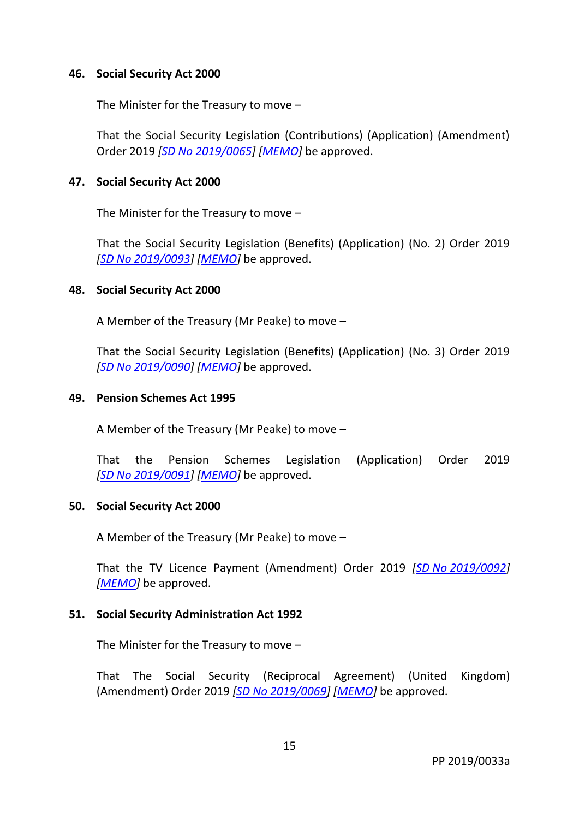#### **46. Social Security Act 2000**

The Minister for the Treasury to move –

That the Social Security Legislation (Contributions) (Application) (Amendment) Order 2019 *[SD No [2019/0065\]](http://www.tynwald.org.im/business/opqp/sittings/20182021/2019-SD-0065.pdf) [\[MEMO\]](http://www.tynwald.org.im/business/opqp/sittings/20182021/2019-SD-0065-MEMO.pdf)* be approved.

#### **47. Social Security Act 2000**

The Minister for the Treasury to move –

That the Social Security Legislation (Benefits) (Application) (No. 2) Order 2019 *[SD No [2019/0093\]](http://www.tynwald.org.im/business/opqp/sittings/20182021/2019-SD-0093.pdf) [\[MEMO\]](http://www.tynwald.org.im/business/opqp/sittings/20182021/2019-SD-0093-MEMO.pdf)* be approved.

#### **48. Social Security Act 2000**

A Member of the Treasury (Mr Peake) to move –

That the Social Security Legislation (Benefits) (Application) (No. 3) Order 2019 *[SD No [2019/0090\]](http://www.tynwald.org.im/business/opqp/sittings/20182021/2019-SD-0090.pdf) [\[MEMO\]](http://www.tynwald.org.im/business/opqp/sittings/20182021/2019-SD-0090-MEMO.pdf)* be approved.

#### **49. Pension Schemes Act 1995**

A Member of the Treasury (Mr Peake) to move –

That the Pension Schemes Legislation (Application) Order 2019 *[SD No [2019/0091\]](http://www.tynwald.org.im/business/opqp/sittings/20182021/2019-SD-0091.pdf) [\[MEMO\]](http://www.tynwald.org.im/business/opqp/sittings/20182021/2019-SD-0091-MEMO.pdf)* be approved.

#### **50. Social Security Act 2000**

A Member of the Treasury (Mr Peake) to move –

That the TV Licence Payment (Amendment) Order 2019 *[SD No [2019/0092\]](http://www.tynwald.org.im/business/opqp/sittings/20182021/2019-SD-0092.pdf) [\[MEMO\]](http://www.tynwald.org.im/business/opqp/sittings/20182021/2019-SD-0092-MEMO.pdf)* be approved.

## **51. Social Security Administration Act 1992**

The Minister for the Treasury to move –

That The Social Security (Reciprocal Agreement) (United Kingdom) (Amendment) Order 2019 *[SD No [2019/0069\]](http://www.tynwald.org.im/business/opqp/sittings/20182021/2019-SD-0069.pdf) [\[MEMO\]](http://www.tynwald.org.im/business/opqp/sittings/20182021/2019-SD-0069-MEMO.pdf)* be approved.